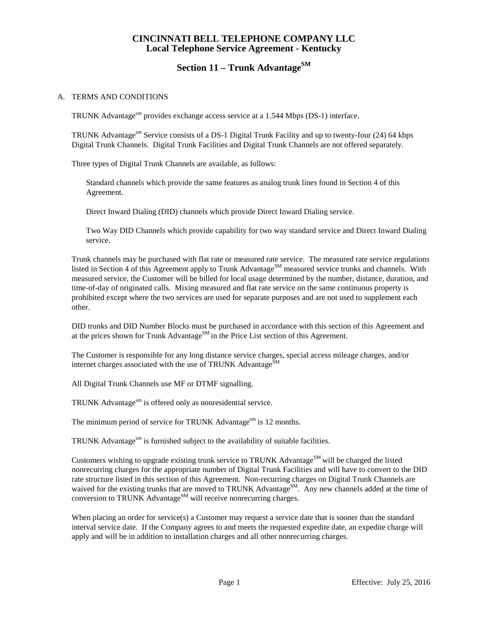## **CINCINNATI BELL TELEPHONE COMPANY LLC Local Telephone Service Agreement - Kentucky**

# **Section 11 – Trunk Advantage**<sup>SM</sup>

#### A. TERMS AND CONDITIONS

TRUNK Advantages m provides exchange access service at a 1.544 Mbps (DS-1) interface.

TRUNK Advantagesm Service consists of a DS-1 Digital Trunk Facility and up to twenty-four (24) 64 kbps Digital Trunk Channels. Digital Trunk Facilities and Digital Trunk Channels are not offered separately.

Three types of Digital Trunk Channels are available, as follows:

Standard channels which provide the same features as analog trunk lines found in Section 4 of this Agreement.

Direct Inward Dialing (DID) channels which provide Direct Inward Dialing service.

Two Way DID Channels which provide capability for two way standard service and Direct Inward Dialing service.

Trunk channels may be purchased with flat rate or measured rate service. The measured rate service regulations listed in Section 4 of this Agreement apply to Trunk Advantage<sup>SM</sup> measured service trunks and channels. With measured service, the Customer will be billed for local usage determined by the number, distance, duration, and time-of-day of originated calls. Mixing measured and flat rate service on the same continuous property is prohibited except where the two services are used for separate purposes and are not used to supplement each other.

DID trunks and DID Number Blocks must be purchased in accordance with this section of this Agreement and at the prices shown for Trunk Advantage<sup>SM</sup> in the Price List section of this Agreement.

The Customer is responsible for any long distance service charges, special access mileage charges, and/or internet charges associated with the use of TRUNK Advantage $^{SM}$ 

All Digital Trunk Channels use MF or DTMF signalling.

TRUNK Advantage<sup>sm</sup> is offered only as nonresidential service.

The minimum period of service for TRUNK Advantage<sup>sm</sup> is 12 months.

TRUNK Advantage $\sin$  is furnished subject to the availability of suitable facilities.

Customers wishing to upgrade existing trunk service to TRUNK Advantage<sup>SM</sup> will be charged the listed nonrecurring charges for the appropriate number of Digital Trunk Facilities and will have to convert to the DID rate structure listed in this section of this Agreement. Non-recurring charges on Digital Trunk Channels are waived for the existing trunks that are moved to TRUNK Advantage<sup>SM</sup>. Any new channels added at the time of conversion to TRUNK Advantage<sup>SM</sup> will receive nonrecurring charges.

When placing an order for service(s) a Customer may request a service date that is sooner than the standard interval service date. If the Company agrees to and meets the requested expedite date, an expedite charge will apply and will be in addition to installation charges and all other nonrecurring charges.